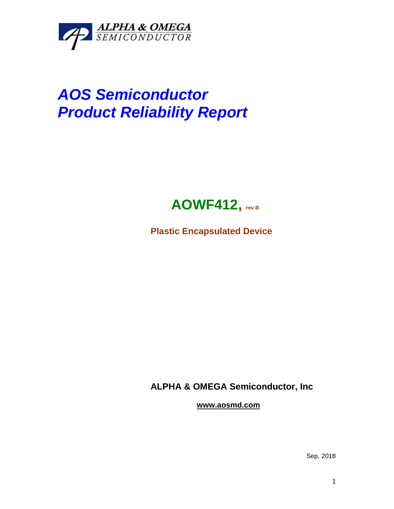

## *AOS Semiconductor Product Reliability Report*



**Plastic Encapsulated Device**

**ALPHA & OMEGA Semiconductor, Inc**

**www.aosmd.com**

Sep, 2018